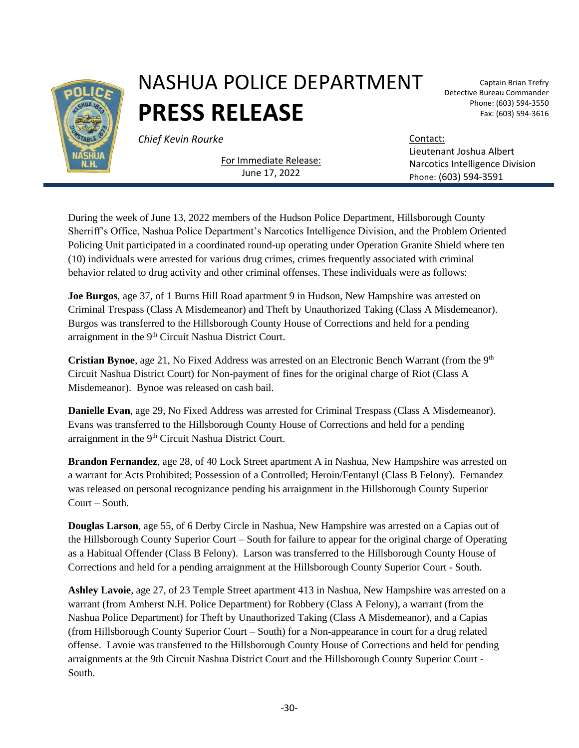

## NASHUA POLICE DEPARTMENT **PRESS RELEASE**

**Chief Kevin Rourke** Contact:

For Immediate Release: June 17, 2022

Captain Brian Trefry Detective Bureau Commander Phone: (603) 594-3550 Fax: (603) 594-3616

Lieutenant Joshua Albert Narcotics Intelligence Division Phone: (603) 594-3591

During the week of June 13, 2022 members of the Hudson Police Department, Hillsborough County Sherriff's Office, Nashua Police Department's Narcotics Intelligence Division, and the Problem Oriented Policing Unit participated in a coordinated round-up operating under Operation Granite Shield where ten (10) individuals were arrested for various drug crimes, crimes frequently associated with criminal behavior related to drug activity and other criminal offenses. These individuals were as follows:

**Joe Burgos**, age 37, of 1 Burns Hill Road apartment 9 in Hudson, New Hampshire was arrested on Criminal Trespass (Class A Misdemeanor) and Theft by Unauthorized Taking (Class A Misdemeanor). Burgos was transferred to the Hillsborough County House of Corrections and held for a pending arraignment in the 9<sup>th</sup> Circuit Nashua District Court.

**Cristian Bynoe**, age 21, No Fixed Address was arrested on an Electronic Bench Warrant (from the 9<sup>th</sup>) Circuit Nashua District Court) for Non-payment of fines for the original charge of Riot (Class A Misdemeanor). Bynoe was released on cash bail.

**Danielle Evan**, age 29, No Fixed Address was arrested for Criminal Trespass (Class A Misdemeanor). Evans was transferred to the Hillsborough County House of Corrections and held for a pending arraignment in the 9<sup>th</sup> Circuit Nashua District Court.

**Brandon Fernandez**, age 28, of 40 Lock Street apartment A in Nashua, New Hampshire was arrested on a warrant for Acts Prohibited; Possession of a Controlled; Heroin/Fentanyl (Class B Felony). Fernandez was released on personal recognizance pending his arraignment in the Hillsborough County Superior Court – South.

**Douglas Larson**, age 55, of 6 Derby Circle in Nashua, New Hampshire was arrested on a Capias out of the Hillsborough County Superior Court – South for failure to appear for the original charge of Operating as a Habitual Offender (Class B Felony). Larson was transferred to the Hillsborough County House of Corrections and held for a pending arraignment at the Hillsborough County Superior Court - South.

**Ashley Lavoie**, age 27, of 23 Temple Street apartment 413 in Nashua, New Hampshire was arrested on a warrant (from Amherst N.H. Police Department) for Robbery (Class A Felony), a warrant (from the Nashua Police Department) for Theft by Unauthorized Taking (Class A Misdemeanor), and a Capias (from Hillsborough County Superior Court – South) for a Non-appearance in court for a drug related offense. Lavoie was transferred to the Hillsborough County House of Corrections and held for pending arraignments at the 9th Circuit Nashua District Court and the Hillsborough County Superior Court - South.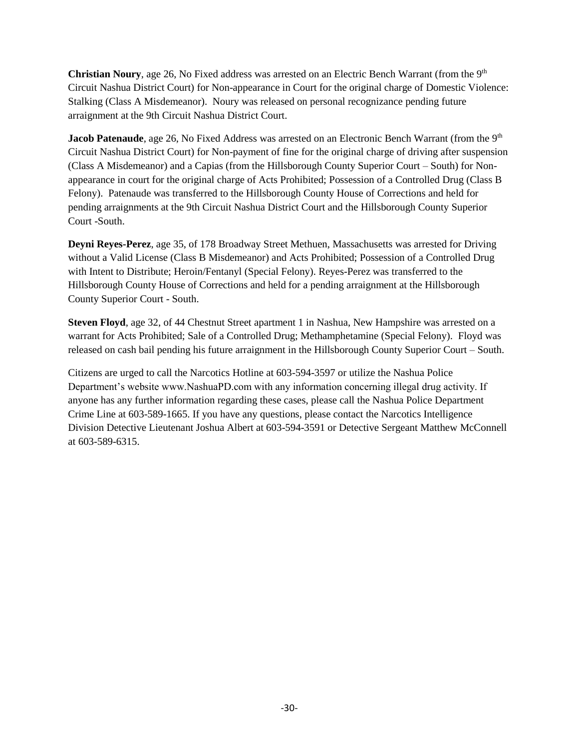**Christian Noury**, age 26, No Fixed address was arrested on an Electric Bench Warrant (from the 9th Circuit Nashua District Court) for Non-appearance in Court for the original charge of Domestic Violence: Stalking (Class A Misdemeanor). Noury was released on personal recognizance pending future arraignment at the 9th Circuit Nashua District Court.

**Jacob Patenaude**, age 26, No Fixed Address was arrested on an Electronic Bench Warrant (from the 9<sup>th</sup>) Circuit Nashua District Court) for Non-payment of fine for the original charge of driving after suspension (Class A Misdemeanor) and a Capias (from the Hillsborough County Superior Court – South) for Nonappearance in court for the original charge of Acts Prohibited; Possession of a Controlled Drug (Class B Felony). Patenaude was transferred to the Hillsborough County House of Corrections and held for pending arraignments at the 9th Circuit Nashua District Court and the Hillsborough County Superior Court -South.

**Deyni Reyes-Perez**, age 35, of 178 Broadway Street Methuen, Massachusetts was arrested for Driving without a Valid License (Class B Misdemeanor) and Acts Prohibited; Possession of a Controlled Drug with Intent to Distribute; Heroin/Fentanyl (Special Felony). Reyes-Perez was transferred to the Hillsborough County House of Corrections and held for a pending arraignment at the Hillsborough County Superior Court - South.

**Steven Floyd**, age 32, of 44 Chestnut Street apartment 1 in Nashua, New Hampshire was arrested on a warrant for Acts Prohibited; Sale of a Controlled Drug; Methamphetamine (Special Felony). Floyd was released on cash bail pending his future arraignment in the Hillsborough County Superior Court – South.

Citizens are urged to call the Narcotics Hotline at 603-594-3597 or utilize the Nashua Police Department's website www.NashuaPD.com with any information concerning illegal drug activity. If anyone has any further information regarding these cases, please call the Nashua Police Department Crime Line at 603-589-1665. If you have any questions, please contact the Narcotics Intelligence Division Detective Lieutenant Joshua Albert at 603-594-3591 or Detective Sergeant Matthew McConnell at 603-589-6315.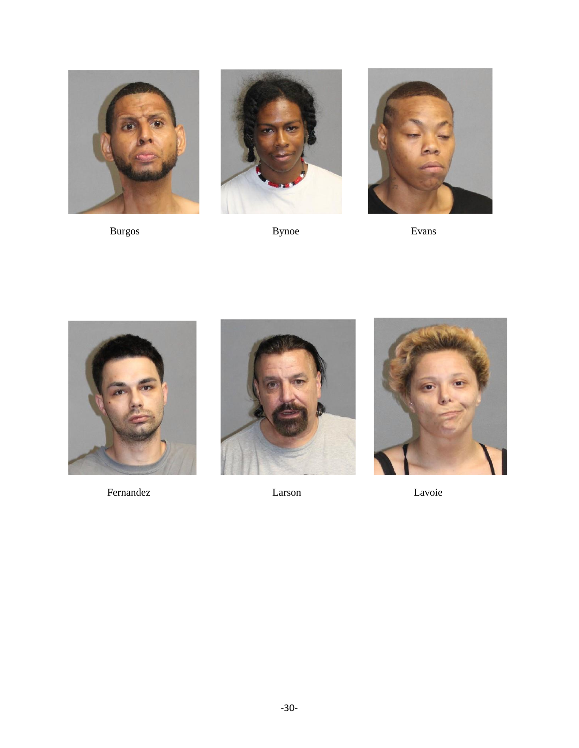

**Burgos** 



**Bynoe** 



Evans



Fernandez



Larson



Lavoie